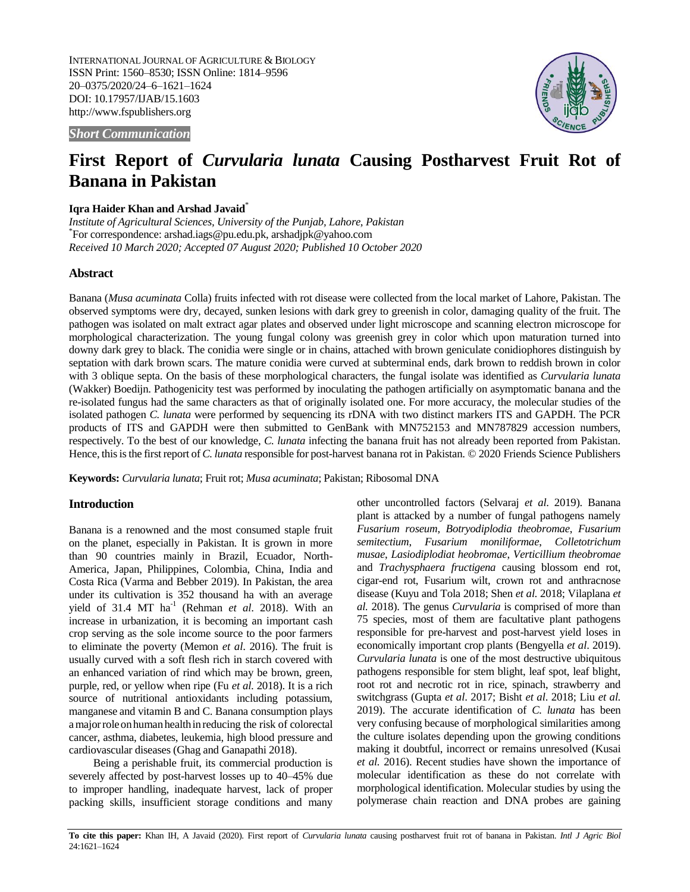INTERNATIONAL JOURNAL OF AGRICULTURE & BIOLOGY ISSN Print: 1560–8530; ISSN Online: 1814–9596 20–0375/2020/24–6–1621–1624 DOI: 10.17957/IJAB/15.1603 http://www.fspublishers.org



*Short Communication*

# **First Report of** *Curvularia lunata* **Causing Postharvest Fruit Rot of Banana in Pakistan**

# **Iqra Haider Khan and Arshad Javaid**\*

*Institute of Agricultural Sciences, University of the Punjab, Lahore, Pakistan* \* For correspondence[: arshad.iags@pu.edu.pk,](mailto:arshad.iags@pu.edu.pk) [arshadjpk@yahoo.com](mailto:arshadjpk@yahoo.com) *Received 10 March 2020; Accepted 07 August 2020; Published 10 October 2020*

# **Abstract**

Banana (*Musa acuminata* Colla) fruits infected with rot disease were collected from the local market of Lahore, Pakistan. The observed symptoms were dry, decayed, sunken lesions with dark grey to greenish in color, damaging quality of the fruit. The pathogen was isolated on malt extract agar plates and observed under light microscope and scanning electron microscope for morphological characterization. The young fungal colony was greenish grey in color which upon maturation turned into downy dark grey to black. The conidia were single or in chains, attached with brown geniculate conidiophores distinguish by septation with dark brown scars. The mature conidia were curved at subterminal ends, dark brown to reddish brown in color with 3 oblique septa. On the basis of these morphological characters, the fungal isolate was identified as *Curvularia lunata* (Wakker) Boedijn. Pathogenicity test was performed by inoculating the pathogen artificially on asymptomatic banana and the re-isolated fungus had the same characters as that of originally isolated one. For more accuracy, the molecular studies of the isolated pathogen *C. lunata* were performed by sequencing its rDNA with two distinct markers ITS and GAPDH. The PCR products of ITS and GAPDH were then submitted to GenBank with MN752153 and MN787829 accession numbers, respectively. To the best of our knowledge, *C. lunata* infecting the banana fruit has not already been reported from Pakistan. Hence, this is the first report of *C. lunata* responsible for post-harvest banana rot in Pakistan. © 2020 Friends Science Publishers

**Keywords:** *Curvularia lunata*; Fruit rot; *Musa acuminata*; Pakistan; Ribosomal DNA

## **Introduction**

Banana is a renowned and the most consumed staple fruit on the planet, especially in Pakistan. It is grown in more than 90 countries mainly in Brazil, Ecuador, North-America, Japan, Philippines, Colombia, China, India and Costa Rica (Varma and Bebber 2019). In Pakistan, the area under its cultivation is 352 thousand ha with an average yield of 31.4 MT ha<sup>-1</sup> (Rehman et al. 2018). With an increase in urbanization, it is becoming an important cash crop serving as the sole income source to the poor farmers to eliminate the poverty (Memon *et al*. 2016). The fruit is usually curved with a soft flesh rich in starch covered with an enhanced variation of rind which may be brown, green, purple, red, or yellow when ripe (Fu *et al*. 2018). It is a rich source of nutritional antioxidants including potassium, manganese and vitamin B and C. Banana consumption plays a major role on human health in reducing the risk of colorectal cancer, asthma, diabetes, leukemia, high blood pressure and cardiovascular diseases (Ghag and Ganapathi 2018).

Being a perishable fruit, its commercial production is severely affected by post-harvest losses up to 40–45% due to improper handling, inadequate harvest, lack of proper packing skills, insufficient storage conditions and many

other uncontrolled factors (Selvaraj *et al*. 2019). Banana plant is attacked by a number of fungal pathogens namely *Fusarium roseum*, *Botryodiplodia theobromae*, *Fusarium semitectium*, *Fusarium moniliformae*, *Colletotrichum musae*, *Lasiodiplodiat heobromae*, *Verticillium theobromae* and *Trachysphaera fructigena* causing blossom end rot, cigar-end rot, Fusarium wilt, crown rot and anthracnose disease (Kuyu and Tola 2018; Shen *et al.* 2018; Vilaplana *et al.* 2018). The genus *Curvularia* is comprised of more than 75 species, most of them are facultative plant pathogens responsible for pre-harvest and post-harvest yield loses in economically important crop plants (Bengyella *et al*. 2019). *Curvularia lunata* is one of the most destructive ubiquitous pathogens responsible for stem blight, leaf spot, leaf blight, root rot and necrotic rot in rice, spinach, strawberry and switchgrass (Gupta *et al*. 2017; Bisht *et al*. 2018; Liu *et al.* 2019). The accurate identification of *C. lunata* has been very confusing because of morphological similarities among the culture isolates depending upon the growing conditions making it doubtful, incorrect or remains unresolved (Kusai *et al.* 2016). Recent studies have shown the importance of molecular identification as these do not correlate with morphological identification. Molecular studies by using the polymerase chain reaction and DNA probes are gaining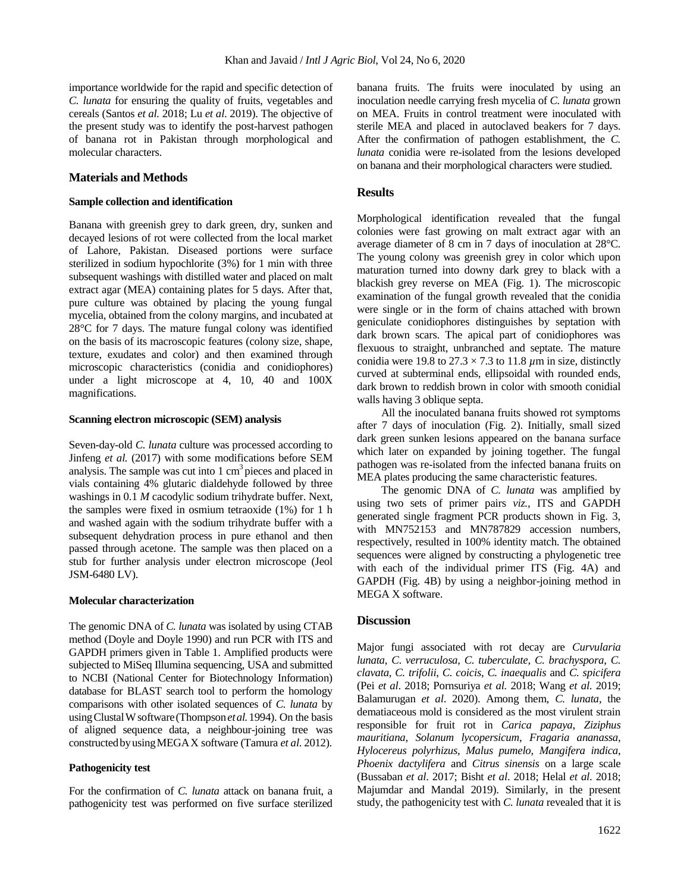importance worldwide for the rapid and specific detection of *C. lunata* for ensuring the quality of fruits, vegetables and cereals (Santos *et al.* 2018; Lu *et al*. 2019). The objective of the present study was to identify the post-harvest pathogen of banana rot in Pakistan through morphological and molecular characters.

## **Materials and Methods**

#### **Sample collection and identification**

Banana with greenish grey to dark green, dry, sunken and decayed lesions of rot were collected from the local market of Lahore, Pakistan. Diseased portions were surface sterilized in sodium hypochlorite (3%) for 1 min with three subsequent washings with distilled water and placed on malt extract agar (MEA) containing plates for 5 days. After that, pure culture was obtained by placing the young fungal mycelia, obtained from the colony margins, and incubated at 28°C for 7 days. The mature fungal colony was identified on the basis of its macroscopic features (colony size, shape, texture, exudates and color) and then examined through microscopic characteristics (conidia and conidiophores) under a light microscope at 4, 10, 40 and 100X magnifications.

### **Scanning electron microscopic (SEM) analysis**

Seven-day-old *C. lunata* culture was processed according to Jinfeng *et al.* (2017) with some modifications before SEM analysis. The sample was cut into  $1 \text{ cm}^3$  pieces and placed in vials containing 4% glutaric dialdehyde followed by three washings in 0.1 *M* cacodylic sodium trihydrate buffer. Next, the samples were fixed in osmium tetraoxide (1%) for 1 h and washed again with the sodium trihydrate buffer with a subsequent dehydration process in pure ethanol and then passed through acetone. The sample was then placed on a stub for further analysis under electron microscope (Jeol JSM-6480 LV).

## **Molecular characterization**

The genomic DNA of *C. lunata* was isolated by using CTAB method [\(Doyle](javascript:popRefFull() and Doyle 1990) and run PCR with ITS and GAPDH primers given in Table 1. Amplified products were subjected to MiSeq Illumina sequencing, USA and submitted to NCBI (National Center for Biotechnology Information) database for BLAST search tool to perform the homology comparisons with other isolated sequences of *C. lunata* by usingClustalWsoftware(Thompson*etal.*1994). On the basis of aligned sequence data, a neighbour-joining tree was constructedbyusingMEGAX software (Tamura *et al*. 2012).

# **Pathogenicity test**

For the confirmation of *C. lunata* attack on banana fruit, a pathogenicity test was performed on five surface sterilized banana fruits. The fruits were inoculated by using an inoculation needle carrying fresh mycelia of *C. lunata* grown on MEA. Fruits in control treatment were inoculated with sterile MEA and placed in autoclaved beakers for 7 days. After the confirmation of pathogen establishment, the *C. lunata* conidia were re-isolated from the lesions developed on banana and their morphological characters were studied.

# **Results**

Morphological identification revealed that the fungal colonies were fast growing on malt extract agar with an average diameter of 8 cm in 7 days of inoculation at 28°C. The young colony was greenish grey in color which upon maturation turned into downy dark grey to black with a blackish grey reverse on MEA (Fig. 1). The microscopic examination of the fungal growth revealed that the conidia were single or in the form of chains attached with brown geniculate conidiophores distinguishes by septation with dark brown scars. The apical part of conidiophores was flexuous to straight, unbranched and septate. The mature conidia were 19.8 to  $27.3 \times 7.3$  to 11.8  $\mu$ m in size, distinctly curved at subterminal ends, ellipsoidal with rounded ends, dark brown to reddish brown in color with smooth conidial walls having 3 oblique septa.

All the inoculated banana fruits showed rot symptoms after 7 days of inoculation (Fig. 2). Initially, small sized dark green sunken lesions appeared on the banana surface which later on expanded by joining together. The fungal pathogen was re-isolated from the infected banana fruits on MEA plates producing the same characteristic features.

The genomic DNA of *C. lunata* was amplified by using two sets of primer pairs *viz.,* ITS and GAPDH generated single fragment PCR products shown in Fig. 3, with MN752153 and MN787829 accession numbers, respectively, resulted in 100% identity match. The obtained sequences were aligned by constructing a phylogenetic tree with each of the individual primer ITS (Fig. 4A) and GAPDH (Fig. 4B) by using a neighbor-joining method in MEGA X software.

#### **Discussion**

Major fungi associated with rot decay are *Curvularia lunata*, *C*. *verruculosa*, *C. tuberculate*, *C. brachyspora*, *C. clavata*, *C. trifolii*, *C. coicis*, *C. inaequalis* and *C. spicifera*  (Pei *et al*. 2018; Pornsuriya *et al.* 2018; Wang *et al*. 2019; Balamurugan *et al*. 2020). Among them, *C. lunata*, the dematiaceous mold is considered as the most virulent strain responsible for fruit rot in *Carica papaya*, *Ziziphus mauritiana*, *Solanum lycopersicum*, *Fragaria ananassa*, *Hylocereus polyrhizus*, *Malus pumelo*, *Mangifera indica*, *Phoenix dactylifera* and *Citrus sinensis* on a large scale (Bussaban *et al*. 2017; Bisht *et al*. 2018; Helal *et al*. 2018; Majumdar and Mandal 2019). Similarly, in the present study, the pathogenicity test with *C. lunata* revealed that it is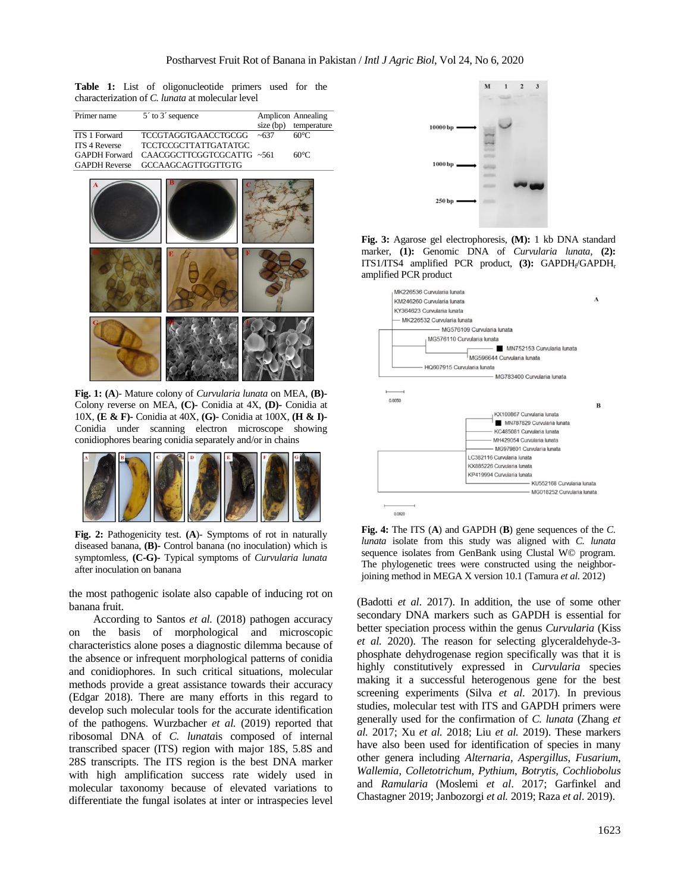**Table 1:** List of oligonucleotide primers used for the characterization of *C. lunata* at molecular level

| Primer name          | $5'$ to $3'$ sequence            |             | Amplicon Annealing |
|----------------------|----------------------------------|-------------|--------------------|
|                      |                                  | $size$ (bp) | temperature        |
| <b>ITS 1 Forward</b> | <b>TCCGTAGGTGAACCTGCGG</b>       | ~1637       | $60^{\circ}$ C     |
| <b>ITS 4 Reverse</b> | <b>TCCTCCGCTTATTGATATGC</b>      |             |                    |
| <b>GAPDH</b> Forward | CAACGGCTTCGGTCGCATTG~561         |             | $60^{\circ}$ C     |
|                      | GAPDH Reverse GCCAAGCAGTTGGTTGTG |             |                    |
|                      |                                  |             |                    |



**Fig. 1: (A**)- Mature colony of *Curvularia lunata* on MEA, **(B)-** Colony reverse on MEA, **(C)-** Conidia at 4X, **(D)-** Conidia at 10X, **(E & F)-** Conidia at 40X, **(G)-** Conidia at 100X, **(H & I)-** Conidia under scanning electron microscope showing conidiophores bearing conidia separately and/or in chains



**Fig. 2:** Pathogenicity test. **(A**)- Symptoms of rot in naturally diseased banana, **(B)-** Control banana (no inoculation) which is symptomless, **(C-G)-** Typical symptoms of *Curvularia lunata* after inoculation on banana

the most pathogenic isolate also capable of inducing rot on banana fruit.

According to Santos *et al.* (2018) pathogen accuracy on the basis of morphological and microscopic characteristics alone poses a diagnostic dilemma because of the absence or infrequent morphological patterns of conidia and conidiophores. In such critical situations, molecular methods provide a great assistance towards their accuracy (Edgar 2018). There are many efforts in this regard to develop such molecular tools for the accurate identification of the pathogens. Wurzbacher *et al.* (2019) reported that ribosomal DNA of *C. lunata*is composed of internal transcribed spacer (ITS) region with major 18S, 5.8S and 28S transcripts. The ITS region is the best DNA marker with high amplification success rate widely used in molecular taxonomy because of elevated variations to differentiate the fungal isolates at inter or intraspecies level



**Fig. 3:** Agarose gel electrophoresis, **(M):** 1 kb DNA standard marker, **(1):** Genomic DNA of *Curvularia lunata,* **(2):** ITS1/ITS4 amplified PCR product, (3): GAPDH<sub>t</sub>/GAPDH<sub>r</sub> amplified PCR product



**Fig. 4:** The ITS (**A**) and GAPDH (**B**) gene sequences of the *C. lunata* isolate from this study was aligned with *C. lunata*  sequence isolates from GenBank using Clustal W© program. The phylogenetic trees were constructed using the neighborjoining method in MEGA X version 10.1 (Tamura *et al.* 2012)

(Badotti *et al*. 2017). In addition, the use of some other secondary DNA markers such as GAPDH is essential for better speciation process within the genus *Curvularia* (Kiss *et al.* 2020). The reason for selecting glyceraldehyde-3 phosphate dehydrogenase region specifically was that it is highly constitutively expressed in *Curvularia* species making it a successful heterogenous gene for the best screening experiments (Silva *et al*. 2017). In previous studies, molecular test with ITS and GAPDH primers were generally used for the confirmation of *C. lunata* (Zhang *et al.* 2017; Xu *et al.* 2018; Liu *et al.* 2019). These markers have also been used for identification of species in many other genera including *Alternaria, Aspergillus*, *Fusarium*, *Wallemia*, *Colletotrichum*, *Pythium*, *Botrytis*, *Cochliobolus* and *Ramularia* (Moslemi *et al*. 2017; Garfinkel and Chastagner 2019; Janbozorgi *et al.* 2019; Raza *et al*. 2019).